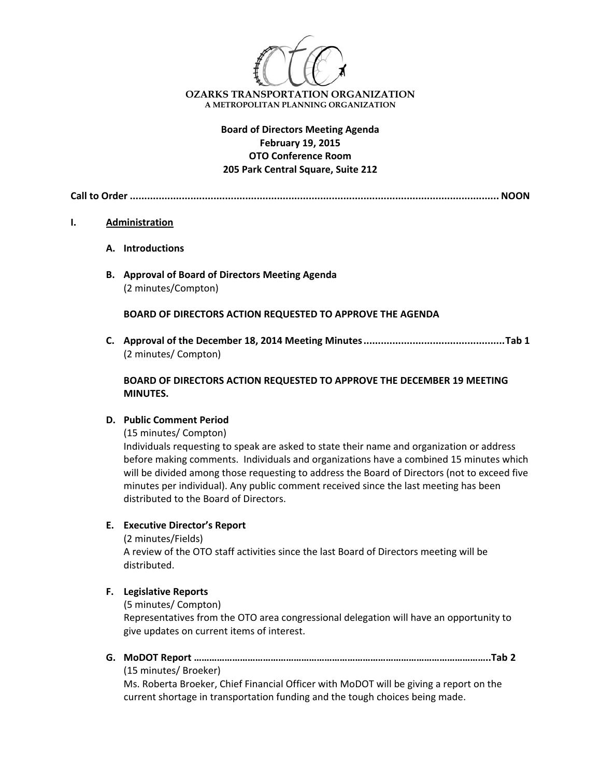

# **Board of Directors Meeting Agenda February 19, 2015 OTO Conference Room 205 Park Central Square, Suite 212**

**Call to Order ................................................................................................................................ NOON**

#### **I. Administration**

- **A. Introductions**
- **B. Approval of Board of Directors Meeting Agenda** (2 minutes/Compton)

**BOARD OF DIRECTORS ACTION REQUESTED TO APPROVE THE AGENDA**

**C. Approval of the December 18, 2014 Meeting Minutes.................................................Tab 1** (2 minutes/ Compton)

### **BOARD OF DIRECTORS ACTION REQUESTED TO APPROVE THE DECEMBER 19 MEETING MINUTES.**

### **D. Public Comment Period**

(15 minutes/ Compton)

Individuals requesting to speak are asked to state their name and organization or address before making comments. Individuals and organizations have a combined 15 minutes which will be divided among those requesting to address the Board of Directors (not to exceed five minutes per individual). Any public comment received since the last meeting has been distributed to the Board of Directors.

### **E. Executive Director's Report**

(2 minutes/Fields)

A review of the OTO staff activities since the last Board of Directors meeting will be distributed.

### **F. Legislative Reports**

(5 minutes/ Compton)

Representatives from the OTO area congressional delegation will have an opportunity to give updates on current items of interest.

**G. MoDOT Report ……………………………………………………………………………………………………..Tab 2**

(15 minutes/ Broeker)

Ms. Roberta Broeker, Chief Financial Officer with MoDOT will be giving a report on the current shortage in transportation funding and the tough choices being made.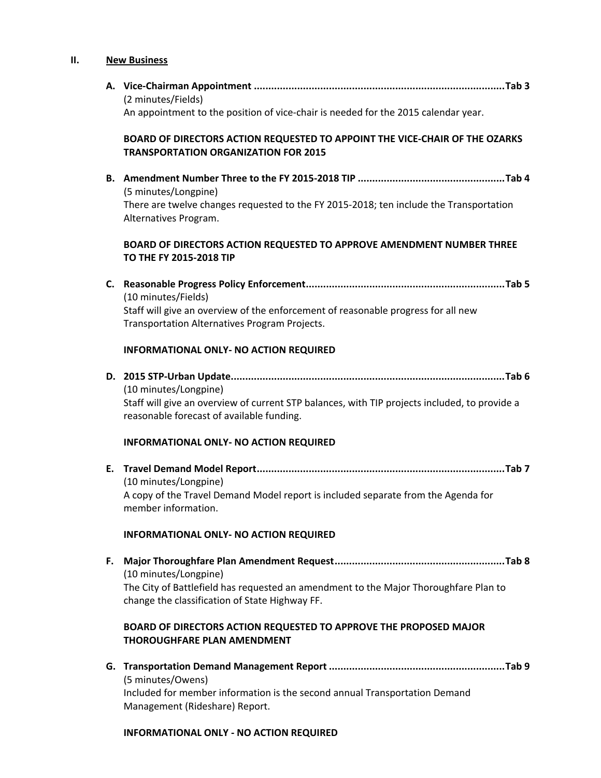# **II. New Business**

|    | (2 minutes/Fields)<br>An appointment to the position of vice-chair is needed for the 2015 calendar year.                                                            |
|----|---------------------------------------------------------------------------------------------------------------------------------------------------------------------|
|    | BOARD OF DIRECTORS ACTION REQUESTED TO APPOINT THE VICE-CHAIR OF THE OZARKS<br><b>TRANSPORTATION ORGANIZATION FOR 2015</b>                                          |
|    | (5 minutes/Longpine)<br>There are twelve changes requested to the FY 2015-2018; ten include the Transportation                                                      |
|    | Alternatives Program.<br>BOARD OF DIRECTORS ACTION REQUESTED TO APPROVE AMENDMENT NUMBER THREE<br>TO THE FY 2015-2018 TIP                                           |
| C. |                                                                                                                                                                     |
|    | (10 minutes/Fields)<br>Staff will give an overview of the enforcement of reasonable progress for all new<br>Transportation Alternatives Program Projects.           |
|    | <b>INFORMATIONAL ONLY- NO ACTION REQUIRED</b>                                                                                                                       |
|    | (10 minutes/Longpine)<br>Staff will give an overview of current STP balances, with TIP projects included, to provide a<br>reasonable forecast of available funding. |
|    | <b>INFORMATIONAL ONLY- NO ACTION REQUIRED</b>                                                                                                                       |
| Е. | (10 minutes/Longpine)<br>A copy of the Travel Demand Model report is included separate from the Agenda for<br>member information.                                   |
|    | <b>INFORMATIONAL ONLY- NO ACTION REQUIRED</b>                                                                                                                       |
| F. | (10 minutes/Longpine)<br>The City of Battlefield has requested an amendment to the Major Thoroughfare Plan to<br>change the classification of State Highway FF.     |
|    | BOARD OF DIRECTORS ACTION REQUESTED TO APPROVE THE PROPOSED MAJOR<br><b>THOROUGHFARE PLAN AMENDMENT</b>                                                             |
|    | (5 minutes/Owens)<br>Included for member information is the second annual Transportation Demand<br>Management (Rideshare) Report.                                   |

### **INFORMATIONAL ONLY ‐ NO ACTION REQUIRED**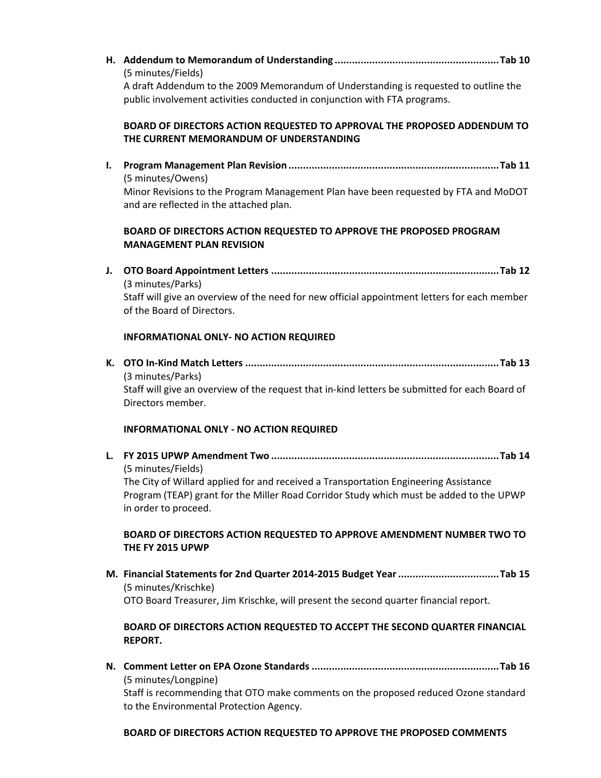**H. Addendum to Memorandum of Understanding .........................................................Tab 10** (5 minutes/Fields) A draft Addendum to the 2009 Memorandum of Understanding is requested to outline the public involvement activities conducted in conjunction with FTA programs. **BOARD OF DIRECTORS ACTION REQUESTED TO APPROVAL THE PROPOSED ADDENDUM TO THE CURRENT MEMORANDUM OF UNDERSTANDING I. Program Management Plan Revision .........................................................................Tab 11** (5 minutes/Owens) Minor Revisions to the Program Management Plan have been requested by FTA and MoDOT and are reflected in the attached plan. **BOARD OF DIRECTORS ACTION REQUESTED TO APPROVE THE PROPOSED PROGRAM MANAGEMENT PLAN REVISION J. OTO Board Appointment Letters ...............................................................................Tab 12** (3 minutes/Parks) Staff will give an overview of the need for new official appointment letters for each member of the Board of Directors. **INFORMATIONAL ONLY‐ NO ACTION REQUIRED K. OTO In‐Kind Match Letters ........................................................................................Tab 13** (3 minutes/Parks) Staff will give an overview of the request that in‐kind letters be submitted for each Board of Directors member. **INFORMATIONAL ONLY ‐ NO ACTION REQUIRED L. FY 2015 UPWP Amendment Two ...............................................................................Tab 14** (5 minutes/Fields) The City of Willard applied for and received a Transportation Engineering Assistance Program (TEAP) grant for the Miller Road Corridor Study which must be added to the UPWP in order to proceed. **BOARD OF DIRECTORS ACTION REQUESTED TO APPROVE AMENDMENT NUMBER TWO TO THE FY 2015 UPWP M. Financial Statements for 2nd Quarter 2014‐2015 Budget Year...................................Tab 15** (5 minutes/Krischke) OTO Board Treasurer, Jim Krischke, will present the second quarter financial report. **BOARD OF DIRECTORS ACTION REQUESTED TO ACCEPT THE SECOND QUARTER FINANCIAL REPORT. N. Comment Letter on EPA Ozone Standards .................................................................Tab 16** (5 minutes/Longpine) Staff is recommending that OTO make comments on the proposed reduced Ozone standard to the Environmental Protection Agency.

#### **BOARD OF DIRECTORS ACTION REQUESTED TO APPROVE THE PROPOSED COMMENTS**